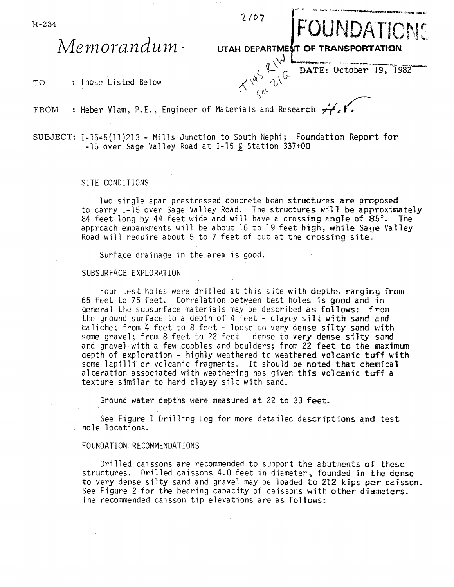$R-234$   $2/07$ 

**Memorandum**<br>Memorandum · UTAH DEPARTMENT OF TRANSPORTATION

TO : Those Listed Below

DATE: October 19, 1982  $X^{\nabla}{}_{\zeta\,e^{\zeta}}{}^{'}$ 

- FROM : Heber Vlam, P.E., Engineer of Materials and Research  $A$
- SUBJECT: 1-15-5(11)213 Mills Junction to South Nephi; Foundation Report for 1-15 over Sage Valley Road at 1-15  $\ell$  Station 337+00

## SITE CONDITIONS

Two single span prestressed concrete beam structures are proposed to carry 1-15 over Sage Valley Road. The structures will be approximately 84 feet long by 44 feet wide and will have a crossing angle of 85°. The approach embankments will be about 16 to 19 feet high, while Sage Valley Road will require about 5 to 7 feet of cut at the crossing site.

Surface drainage in the area is good.

## SUBSURFACE EXPLORATION

Four test holes were drilled at this site with depths ranging from 65 feet to 75 feet. Correlation between test holes is good and in general the subsurface materials may be described as  $foIIows: from$ the ground surface to a depth of 4 feet - clayey silt with sand and taliche; from 4 feet to 8 feet - loose to very dense silty sand with some gravel; from 8 feet to 22 feet - dense to very dense silty sand and gravel with a few cobbles and boulders; from 22 feet to the maximum depth of exploration - highly weathered to weathered volcanic tuff with some lapilli or volcanic fragments. It should be noted that chemical alteration associated with weathering has given this volcanic tuff a texture similar to hard clayey silt with sand.

Ground water depths were measured at 22 to 33 feet.

See Figure 1 Drilling Log for more detailed descriptions and test hole locations.

## FOUNDATION RECOMMENDATIONS

Drilled caissons are recommended to support the abutments of these structures. Drilled caissons 4.0 feet in diameter, founded in the dense to very dense silty sand and gravel may be loaded to 212 kips per caisson. See Figure 2 for the bearing capacity of caissons with other diameters. The recommended caisson tip elevations are as follows: